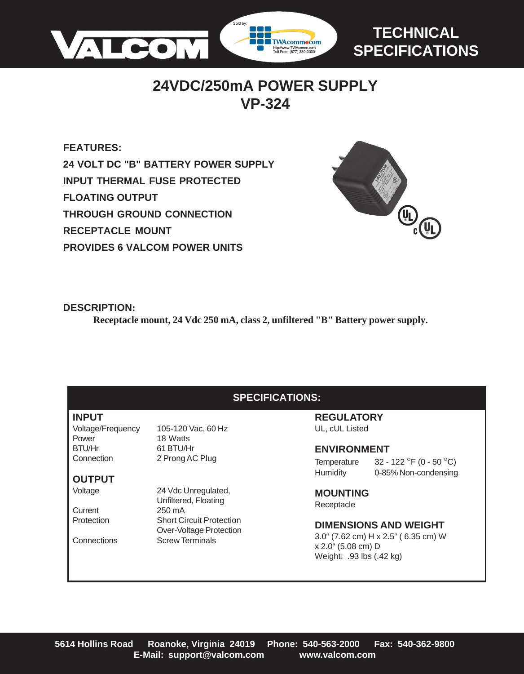

# **TECHNICAL SPECIFICATIONS**

# **24VDC/250mA POWER SUPPLY VP-324**

**FEATURES: 24 VOLT DC "B" BATTERY POWER SUPPLY INPUT THERMAL FUSE PROTECTED FLOATING OUTPUT THROUGH GROUND CONNECTION RECEPTACLE MOUNT PROVIDES 6 VALCOM POWER UNITS**



### **DESCRIPTION:**

**Receptacle mount, 24 Vdc 250 mA, class 2, unfiltered "B" Battery power supply.**

## **SPECIFICATIONS:**

#### **INPUT**

Power 18 Watts<br>
RTU/Hr 61 RTU/H

## **OUTPUT**

Current 250 mA

Voltage/Frequency 105-120 Vac, 60 Hz BTU/Hr 61 BTU/Hr Connection 2 Prong AC Plug

Voltage 24 Vdc Unregulated, Unfiltered, Floating Protection Short Circuit Protection Over-Voltage Protection Connections Screw Terminals

#### **REGULATORY** UL, cUL Listed

#### **ENVIRONMENT**

Temperature  $32 - 122$  °F (0 - 50 °C) Humidity 0-85% Non-condensing

**MOUNTING** Receptacle

### **DIMENSIONS AND WEIGHT**

3.0" (7.62 cm) H x 2.5" ( 6.35 cm) W x 2.0" (5.08 cm) D Weight: .93 lbs (.42 kg)